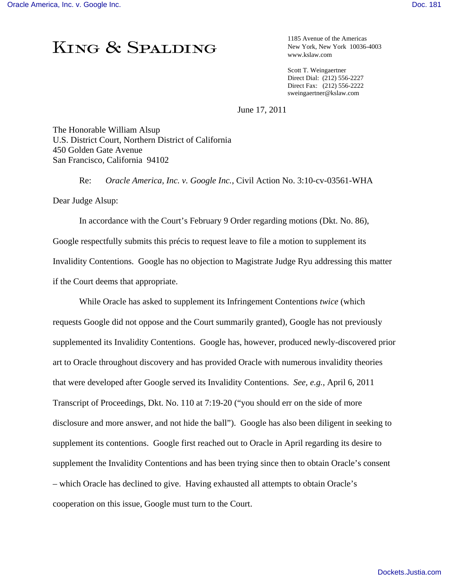## KING & SPALDING

1185 Avenue of the Americas New York, New York 10036-4003 www.kslaw.com

Scott T. Weingaertner Direct Dial: (212) 556-2227 Direct Fax: (212) 556-2222 sweingaertner@kslaw.com

June 17, 2011

The Honorable William Alsup U.S. District Court, Northern District of California 450 Golden Gate Avenue San Francisco, California 94102

Re: *Oracle America, Inc. v. Google Inc.*, Civil Action No. 3:10-cv-03561-WHA

Dear Judge Alsup:

 In accordance with the Court's February 9 Order regarding motions (Dkt. No. 86), Google respectfully submits this précis to request leave to file a motion to supplement its Invalidity Contentions. Google has no objection to Magistrate Judge Ryu addressing this matter if the Court deems that appropriate.

 While Oracle has asked to supplement its Infringement Contentions *twice* (which requests Google did not oppose and the Court summarily granted), Google has not previously supplemented its Invalidity Contentions. Google has, however, produced newly-discovered prior art to Oracle throughout discovery and has provided Oracle with numerous invalidity theories that were developed after Google served its Invalidity Contentions. *See, e.g.,* April 6, 2011 Transcript of Proceedings, Dkt. No. 110 at 7:19-20 ("you should err on the side of more disclosure and more answer, and not hide the ball"). Google has also been diligent in seeking to supplement its contentions. Google first reached out to Oracle in April regarding its desire to supplement the Invalidity Contentions and has been trying since then to obtain Oracle's consent – which Oracle has declined to give. Having exhausted all attempts to obtain Oracle's cooperation on this issue, Google must turn to the Court.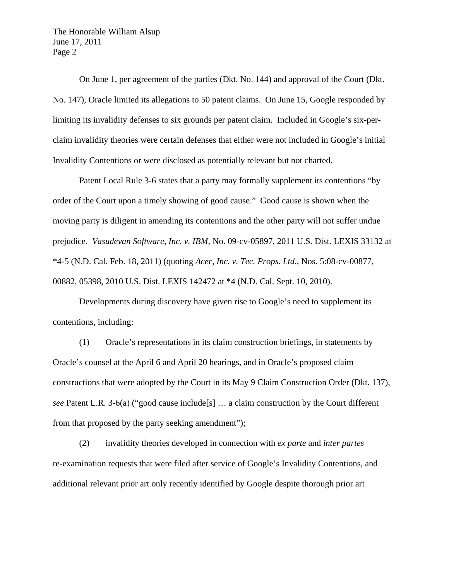The Honorable William Alsup June 17, 2011 Page 2

 On June 1, per agreement of the parties (Dkt. No. 144) and approval of the Court (Dkt. No. 147), Oracle limited its allegations to 50 patent claims. On June 15, Google responded by limiting its invalidity defenses to six grounds per patent claim. Included in Google's six-perclaim invalidity theories were certain defenses that either were not included in Google's initial Invalidity Contentions or were disclosed as potentially relevant but not charted.

 Patent Local Rule 3-6 states that a party may formally supplement its contentions "by order of the Court upon a timely showing of good cause." Good cause is shown when the moving party is diligent in amending its contentions and the other party will not suffer undue prejudice. *Vasudevan Software, Inc. v. IBM*, No. 09-cv-05897, 2011 U.S. Dist. LEXIS 33132 at \*4-5 (N.D. Cal. Feb. 18, 2011) (quoting *Acer, Inc. v. Tec. Props. Ltd.*, Nos. 5:08-cv-00877, 00882, 05398, 2010 U.S. Dist. LEXIS 142472 at \*4 (N.D. Cal. Sept. 10, 2010).

 Developments during discovery have given rise to Google's need to supplement its contentions, including:

 (1) Oracle's representations in its claim construction briefings, in statements by Oracle's counsel at the April 6 and April 20 hearings, and in Oracle's proposed claim constructions that were adopted by the Court in its May 9 Claim Construction Order (Dkt. 137), *see* Patent L.R. 3-6(a) ("good cause include[s] … a claim construction by the Court different from that proposed by the party seeking amendment");

 (2) invalidity theories developed in connection with *ex parte* and *inter partes*  re-examination requests that were filed after service of Google's Invalidity Contentions, and additional relevant prior art only recently identified by Google despite thorough prior art